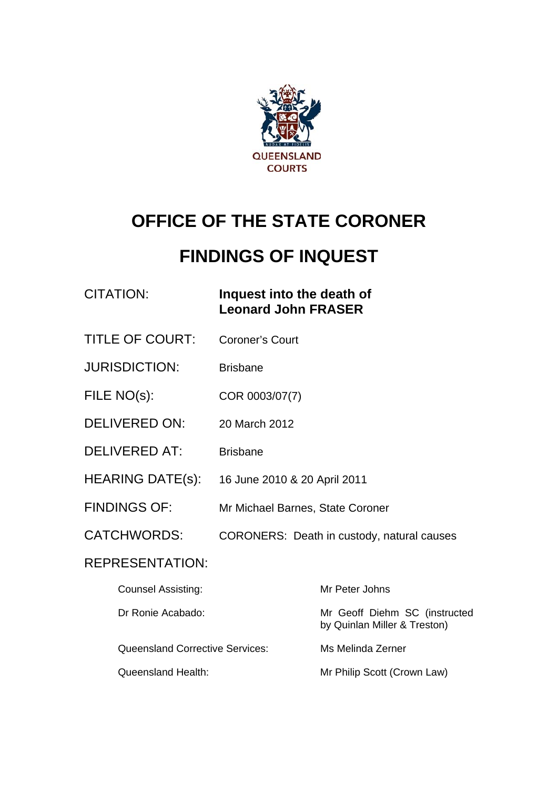

# **OFFICE OF THE STATE CORONER**

# **FINDINGS OF INQUEST**

# CITATION: **Inquest into the death of Leonard John FRASER**

- TITLE OF COURT: Coroner's Court
- JURISDICTION: Brisbane
- FILE NO(s): COR 0003/07(7)
- DELIVERED ON: 20 March 2012
- DELIVERED AT: Brisbane
- HEARING DATE(s): 16 June 2010 & 20 April 2011
- FINDINGS OF: Mr Michael Barnes, State Coroner
- CATCHWORDS: CORONERS: Death in custody, natural causes

# REPRESENTATION:

| <b>Counsel Assisting:</b>              | Mr Peter Johns                                                |
|----------------------------------------|---------------------------------------------------------------|
| Dr Ronie Acabado:                      | Mr Geoff Diehm SC (instructed<br>by Quinlan Miller & Treston) |
| <b>Queensland Corrective Services:</b> | Ms Melinda Zerner                                             |
| Queensland Health:                     | Mr Philip Scott (Crown Law)                                   |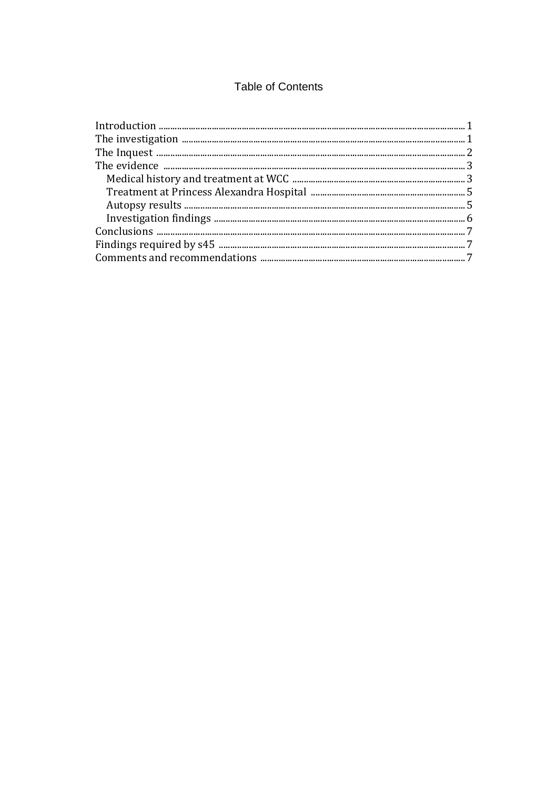# **Table of Contents**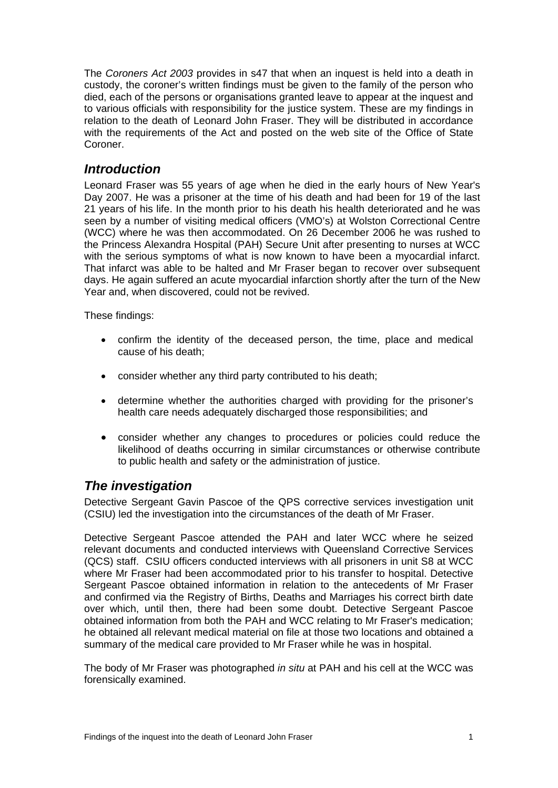The *Coroners Act 2003* provides in s47 that when an inquest is held into a death in custody, the coroner's written findings must be given to the family of the person who died, each of the persons or organisations granted leave to appear at the inquest and to various officials with responsibility for the justice system. These are my findings in relation to the death of Leonard John Fraser. They will be distributed in accordance with the requirements of the Act and posted on the web site of the Office of State Coroner.

## <span id="page-2-0"></span>*Introduction*

Leonard Fraser was 55 years of age when he died in the early hours of New Year's Day 2007. He was a prisoner at the time of his death and had been for 19 of the last 21 years of his life. In the month prior to his death his health deteriorated and he was seen by a number of visiting medical officers (VMO's) at Wolston Correctional Centre (WCC) where he was then accommodated. On 26 December 2006 he was rushed to the Princess Alexandra Hospital (PAH) Secure Unit after presenting to nurses at WCC with the serious symptoms of what is now known to have been a myocardial infarct. That infarct was able to be halted and Mr Fraser began to recover over subsequent days. He again suffered an acute myocardial infarction shortly after the turn of the New Year and, when discovered, could not be revived.

These findings:

- confirm the identity of the deceased person, the time, place and medical cause of his death;
- consider whether any third party contributed to his death;
- determine whether the authorities charged with providing for the prisoner's health care needs adequately discharged those responsibilities; and
- consider whether any changes to procedures or policies could reduce the likelihood of deaths occurring in similar circumstances or otherwise contribute to public health and safety or the administration of justice.

## *The investigation*

Detective Sergeant Gavin Pascoe of the QPS corrective services investigation unit (CSIU) led the investigation into the circumstances of the death of Mr Fraser.

Detective Sergeant Pascoe attended the PAH and later WCC where he seized relevant documents and conducted interviews with Queensland Corrective Services (QCS) staff. CSIU officers conducted interviews with all prisoners in unit S8 at WCC where Mr Fraser had been accommodated prior to his transfer to hospital. Detective Sergeant Pascoe obtained information in relation to the antecedents of Mr Fraser and confirmed via the Registry of Births, Deaths and Marriages his correct birth date over which, until then, there had been some doubt. Detective Sergeant Pascoe obtained information from both the PAH and WCC relating to Mr Fraser's medication; he obtained all relevant medical material on file at those two locations and obtained a summary of the medical care provided to Mr Fraser while he was in hospital.

The body of Mr Fraser was photographed *in situ* at PAH and his cell at the WCC was forensically examined.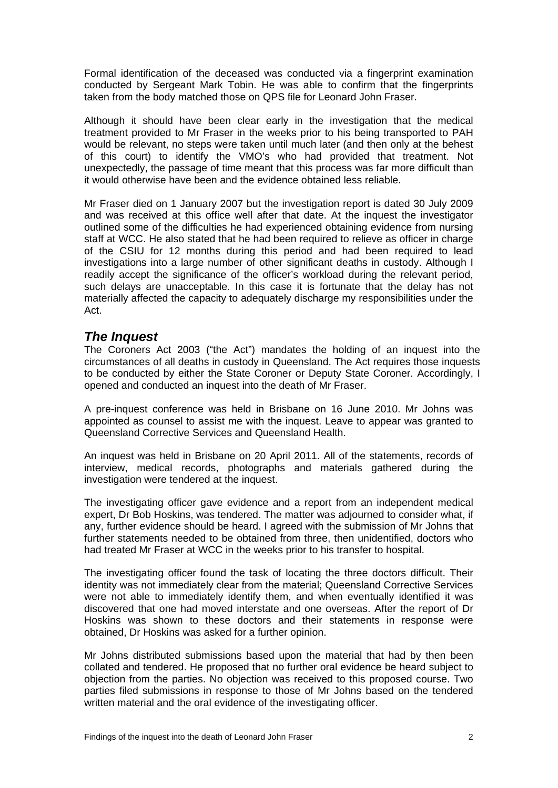Formal identification of the deceased was conducted via a fingerprint examination conducted by Sergeant Mark Tobin. He was able to confirm that the fingerprints taken from the body matched those on QPS file for Leonard John Fraser.

Although it should have been clear early in the investigation that the medical treatment provided to Mr Fraser in the weeks prior to his being transported to PAH would be relevant, no steps were taken until much later (and then only at the behest of this court) to identify the VMO's who had provided that treatment. Not unexpectedly, the passage of time meant that this process was far more difficult than it would otherwise have been and the evidence obtained less reliable.

Mr Fraser died on 1 January 2007 but the investigation report is dated 30 July 2009 and was received at this office well after that date. At the inquest the investigator outlined some of the difficulties he had experienced obtaining evidence from nursing staff at WCC. He also stated that he had been required to relieve as officer in charge of the CSIU for 12 months during this period and had been required to lead investigations into a large number of other significant deaths in custody. Although I readily accept the significance of the officer's workload during the relevant period, such delays are unacceptable. In this case it is fortunate that the delay has not materially affected the capacity to adequately discharge my responsibilities under the Act.

# <span id="page-3-0"></span>*The Inquest*

The Coroners Act 2003 ("the Act") mandates the holding of an inquest into the circumstances of all deaths in custody in Queensland. The Act requires those inquests to be conducted by either the State Coroner or Deputy State Coroner. Accordingly, I opened and conducted an inquest into the death of Mr Fraser.

A pre-inquest conference was held in Brisbane on 16 June 2010. Mr Johns was appointed as counsel to assist me with the inquest. Leave to appear was granted to Queensland Corrective Services and Queensland Health.

An inquest was held in Brisbane on 20 April 2011. All of the statements, records of interview, medical records, photographs and materials gathered during the investigation were tendered at the inquest.

The investigating officer gave evidence and a report from an independent medical expert, Dr Bob Hoskins, was tendered. The matter was adjourned to consider what, if any, further evidence should be heard. I agreed with the submission of Mr Johns that further statements needed to be obtained from three, then unidentified, doctors who had treated Mr Fraser at WCC in the weeks prior to his transfer to hospital.

The investigating officer found the task of locating the three doctors difficult. Their identity was not immediately clear from the material; Queensland Corrective Services were not able to immediately identify them, and when eventually identified it was discovered that one had moved interstate and one overseas. After the report of Dr Hoskins was shown to these doctors and their statements in response were obtained, Dr Hoskins was asked for a further opinion.

Mr Johns distributed submissions based upon the material that had by then been collated and tendered. He proposed that no further oral evidence be heard subject to objection from the parties. No objection was received to this proposed course. Two parties filed submissions in response to those of Mr Johns based on the tendered written material and the oral evidence of the investigating officer.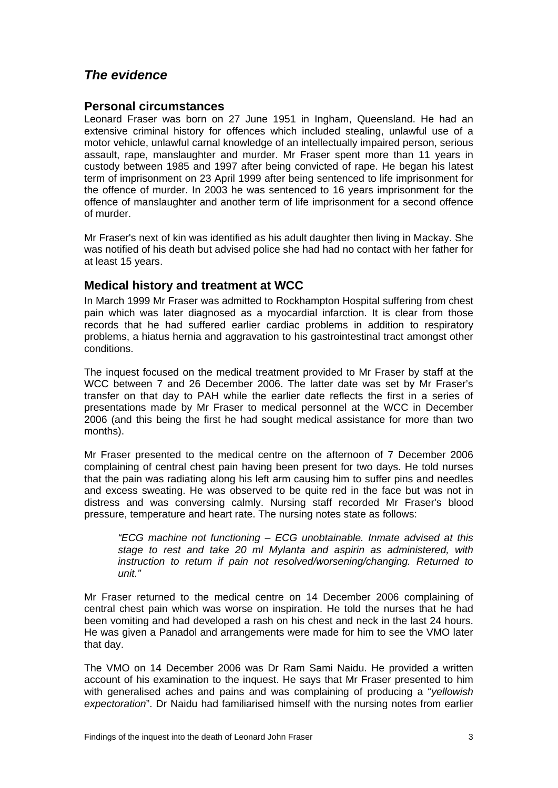# <span id="page-4-0"></span>*The evidence*

#### **Personal circumstances**

Leonard Fraser was born on 27 June 1951 in Ingham, Queensland. He had an extensive criminal history for offences which included stealing, unlawful use of a motor vehicle, unlawful carnal knowledge of an intellectually impaired person, serious assault, rape, manslaughter and murder. Mr Fraser spent more than 11 years in custody between 1985 and 1997 after being convicted of rape. He began his latest term of imprisonment on 23 April 1999 after being sentenced to life imprisonment for the offence of murder. In 2003 he was sentenced to 16 years imprisonment for the offence of manslaughter and another term of life imprisonment for a second offence of murder.

Mr Fraser's next of kin was identified as his adult daughter then living in Mackay. She was notified of his death but advised police she had had no contact with her father for at least 15 years.

#### <span id="page-4-1"></span>**Medical history and treatment at WCC**

In March 1999 Mr Fraser was admitted to Rockhampton Hospital suffering from chest pain which was later diagnosed as a myocardial infarction. It is clear from those records that he had suffered earlier cardiac problems in addition to respiratory problems, a hiatus hernia and aggravation to his gastrointestinal tract amongst other conditions.

The inquest focused on the medical treatment provided to Mr Fraser by staff at the WCC between 7 and 26 December 2006. The latter date was set by Mr Fraser's transfer on that day to PAH while the earlier date reflects the first in a series of presentations made by Mr Fraser to medical personnel at the WCC in December 2006 (and this being the first he had sought medical assistance for more than two months).

Mr Fraser presented to the medical centre on the afternoon of 7 December 2006 complaining of central chest pain having been present for two days. He told nurses that the pain was radiating along his left arm causing him to suffer pins and needles and excess sweating. He was observed to be quite red in the face but was not in distress and was conversing calmly. Nursing staff recorded Mr Fraser's blood pressure, temperature and heart rate. The nursing notes state as follows:

*"ECG machine not functioning – ECG unobtainable. Inmate advised at this stage to rest and take 20 ml Mylanta and aspirin as administered, with instruction to return if pain not resolved/worsening/changing. Returned to unit."* 

Mr Fraser returned to the medical centre on 14 December 2006 complaining of central chest pain which was worse on inspiration. He told the nurses that he had been vomiting and had developed a rash on his chest and neck in the last 24 hours. He was given a Panadol and arrangements were made for him to see the VMO later that day.

The VMO on 14 December 2006 was Dr Ram Sami Naidu. He provided a written account of his examination to the inquest. He says that Mr Fraser presented to him with generalised aches and pains and was complaining of producing a "*yellowish expectoration*". Dr Naidu had familiarised himself with the nursing notes from earlier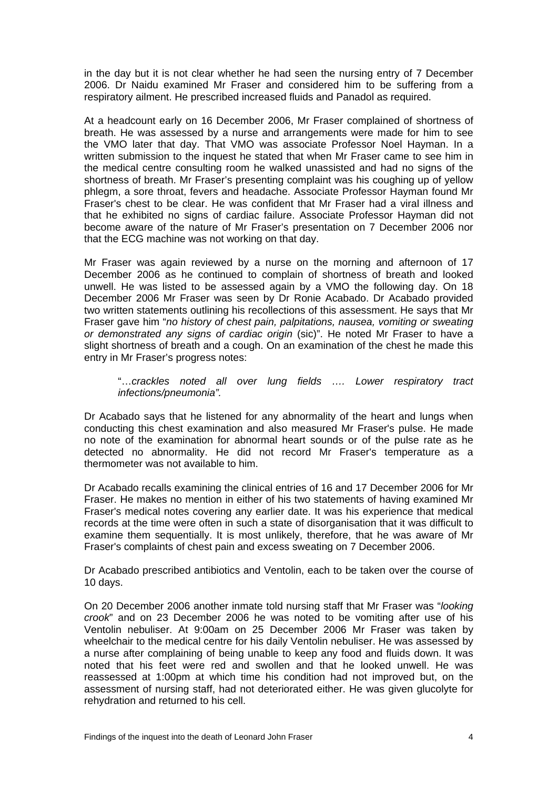in the day but it is not clear whether he had seen the nursing entry of 7 December 2006. Dr Naidu examined Mr Fraser and considered him to be suffering from a respiratory ailment. He prescribed increased fluids and Panadol as required.

At a headcount early on 16 December 2006, Mr Fraser complained of shortness of breath. He was assessed by a nurse and arrangements were made for him to see the VMO later that day. That VMO was associate Professor Noel Hayman. In a written submission to the inquest he stated that when Mr Fraser came to see him in the medical centre consulting room he walked unassisted and had no signs of the shortness of breath. Mr Fraser's presenting complaint was his coughing up of yellow phlegm, a sore throat, fevers and headache. Associate Professor Hayman found Mr Fraser's chest to be clear. He was confident that Mr Fraser had a viral illness and that he exhibited no signs of cardiac failure. Associate Professor Hayman did not become aware of the nature of Mr Fraser's presentation on 7 December 2006 nor that the ECG machine was not working on that day.

Mr Fraser was again reviewed by a nurse on the morning and afternoon of 17 December 2006 as he continued to complain of shortness of breath and looked unwell. He was listed to be assessed again by a VMO the following day. On 18 December 2006 Mr Fraser was seen by Dr Ronie Acabado. Dr Acabado provided two written statements outlining his recollections of this assessment. He says that Mr Fraser gave him "*no history of chest pain, palpitations, nausea, vomiting or sweating or demonstrated any signs of cardiac origin* (sic)". He noted Mr Fraser to have a slight shortness of breath and a cough. On an examination of the chest he made this entry in Mr Fraser's progress notes:

"…*crackles noted all over lung fields …. Lower respiratory tract infections/pneumonia".* 

Dr Acabado says that he listened for any abnormality of the heart and lungs when conducting this chest examination and also measured Mr Fraser's pulse. He made no note of the examination for abnormal heart sounds or of the pulse rate as he detected no abnormality. He did not record Mr Fraser's temperature as a thermometer was not available to him.

Dr Acabado recalls examining the clinical entries of 16 and 17 December 2006 for Mr Fraser. He makes no mention in either of his two statements of having examined Mr Fraser's medical notes covering any earlier date. It was his experience that medical records at the time were often in such a state of disorganisation that it was difficult to examine them sequentially. It is most unlikely, therefore, that he was aware of Mr Fraser's complaints of chest pain and excess sweating on 7 December 2006.

Dr Acabado prescribed antibiotics and Ventolin, each to be taken over the course of 10 days.

On 20 December 2006 another inmate told nursing staff that Mr Fraser was "*looking crook*" and on 23 December 2006 he was noted to be vomiting after use of his Ventolin nebuliser. At 9:00am on 25 December 2006 Mr Fraser was taken by wheelchair to the medical centre for his daily Ventolin nebuliser. He was assessed by a nurse after complaining of being unable to keep any food and fluids down. It was noted that his feet were red and swollen and that he looked unwell. He was reassessed at 1:00pm at which time his condition had not improved but, on the assessment of nursing staff, had not deteriorated either. He was given glucolyte for rehydration and returned to his cell.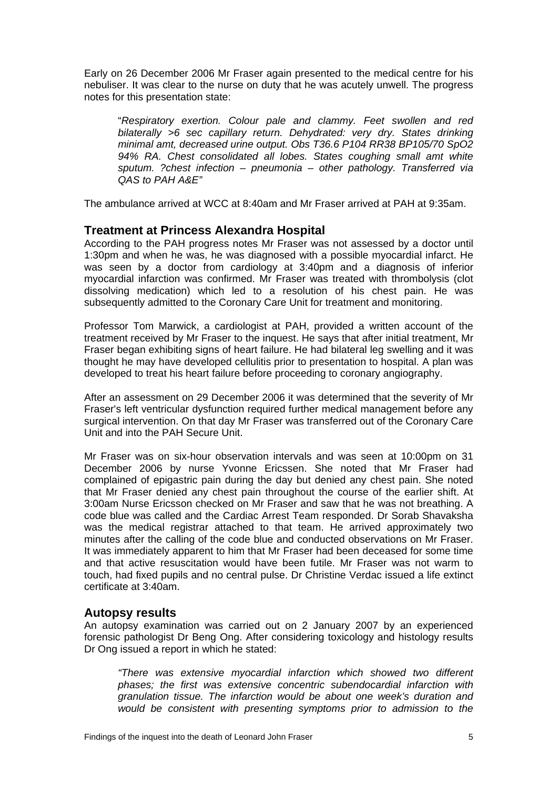Early on 26 December 2006 Mr Fraser again presented to the medical centre for his nebuliser. It was clear to the nurse on duty that he was acutely unwell. The progress notes for this presentation state:

"*Respiratory exertion. Colour pale and clammy. Feet swollen and red bilaterally >6 sec capillary return. Dehydrated: very dry. States drinking minimal amt, decreased urine output. Obs T36.6 P104 RR38 BP105/70 SpO2 94% RA. Chest consolidated all lobes. States coughing small amt white sputum. ?chest infection – pneumonia – other pathology. Transferred via QAS to PAH A&E"* 

The ambulance arrived at WCC at 8:40am and Mr Fraser arrived at PAH at 9:35am.

#### <span id="page-6-0"></span>**Treatment at Princess Alexandra Hospital**

According to the PAH progress notes Mr Fraser was not assessed by a doctor until 1:30pm and when he was, he was diagnosed with a possible myocardial infarct. He was seen by a doctor from cardiology at 3:40pm and a diagnosis of inferior myocardial infarction was confirmed. Mr Fraser was treated with thrombolysis (clot dissolving medication) which led to a resolution of his chest pain. He was subsequently admitted to the Coronary Care Unit for treatment and monitoring.

Professor Tom Marwick, a cardiologist at PAH, provided a written account of the treatment received by Mr Fraser to the inquest. He says that after initial treatment, Mr Fraser began exhibiting signs of heart failure. He had bilateral leg swelling and it was thought he may have developed cellulitis prior to presentation to hospital. A plan was developed to treat his heart failure before proceeding to coronary angiography.

After an assessment on 29 December 2006 it was determined that the severity of Mr Fraser's left ventricular dysfunction required further medical management before any surgical intervention. On that day Mr Fraser was transferred out of the Coronary Care Unit and into the PAH Secure Unit.

Mr Fraser was on six-hour observation intervals and was seen at 10:00pm on 31 December 2006 by nurse Yvonne Ericssen. She noted that Mr Fraser had complained of epigastric pain during the day but denied any chest pain. She noted that Mr Fraser denied any chest pain throughout the course of the earlier shift. At 3:00am Nurse Ericsson checked on Mr Fraser and saw that he was not breathing. A code blue was called and the Cardiac Arrest Team responded. Dr Sorab Shavaksha was the medical registrar attached to that team. He arrived approximately two minutes after the calling of the code blue and conducted observations on Mr Fraser. It was immediately apparent to him that Mr Fraser had been deceased for some time and that active resuscitation would have been futile. Mr Fraser was not warm to touch, had fixed pupils and no central pulse. Dr Christine Verdac issued a life extinct certificate at 3:40am.

#### <span id="page-6-1"></span>**Autopsy results**

An autopsy examination was carried out on 2 January 2007 by an experienced forensic pathologist Dr Beng Ong. After considering toxicology and histology results Dr Ong issued a report in which he stated:

*"There was extensive myocardial infarction which showed two different phases; the first was extensive concentric subendocardial infarction with granulation tissue. The infarction would be about one week's duration and would be consistent with presenting symptoms prior to admission to the*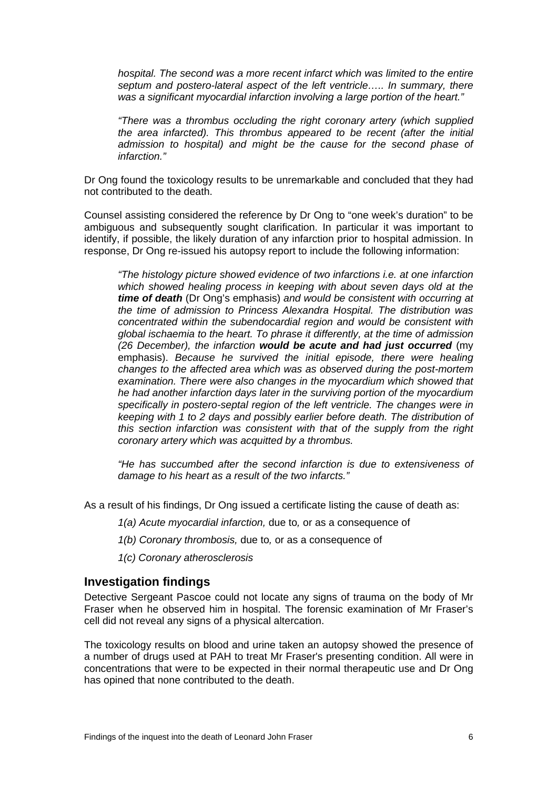*hospital. The second was a more recent infarct which was limited to the entire septum and postero-lateral aspect of the left ventricle….. In summary, there was a significant myocardial infarction involving a large portion of the heart."* 

*"There was a thrombus occluding the right coronary artery (which supplied the area infarcted). This thrombus appeared to be recent (after the initial admission to hospital) and might be the cause for the second phase of infarction."* 

Dr Ong found the toxicology results to be unremarkable and concluded that they had not contributed to the death.

Counsel assisting considered the reference by Dr Ong to "one week's duration" to be ambiguous and subsequently sought clarification. In particular it was important to identify, if possible, the likely duration of any infarction prior to hospital admission. In response, Dr Ong re-issued his autopsy report to include the following information:

*"The histology picture showed evidence of two infarctions i.e. at one infarction which showed healing process in keeping with about seven days old at the time of death* (Dr Ong's emphasis) *and would be consistent with occurring at the time of admission to Princess Alexandra Hospital. The distribution was concentrated within the subendocardial region and would be consistent with global ischaemia to the heart. To phrase it differently, at the time of admission (26 December), the infarction would be acute and had just occurred* (my emphasis). *Because he survived the initial episode, there were healing changes to the affected area which was as observed during the post-mortem examination. There were also changes in the myocardium which showed that he had another infarction days later in the surviving portion of the myocardium specifically in postero-septal region of the left ventricle. The changes were in keeping with 1 to 2 days and possibly earlier before death. The distribution of this section infarction was consistent with that of the supply from the right coronary artery which was acquitted by a thrombus.* 

*"He has succumbed after the second infarction is due to extensiveness of damage to his heart as a result of the two infarcts."* 

As a result of his findings, Dr Ong issued a certificate listing the cause of death as:

- *1(a) Acute myocardial infarction,* due to*,* or as a consequence of
- *1(b) Coronary thrombosis,* due to*,* or as a consequence of
- *1(c) Coronary atherosclerosis*

#### <span id="page-7-0"></span>**Investigation findings**

Detective Sergeant Pascoe could not locate any signs of trauma on the body of Mr Fraser when he observed him in hospital. The forensic examination of Mr Fraser's cell did not reveal any signs of a physical altercation.

The toxicology results on blood and urine taken an autopsy showed the presence of a number of drugs used at PAH to treat Mr Fraser's presenting condition. All were in concentrations that were to be expected in their normal therapeutic use and Dr Ong has opined that none contributed to the death.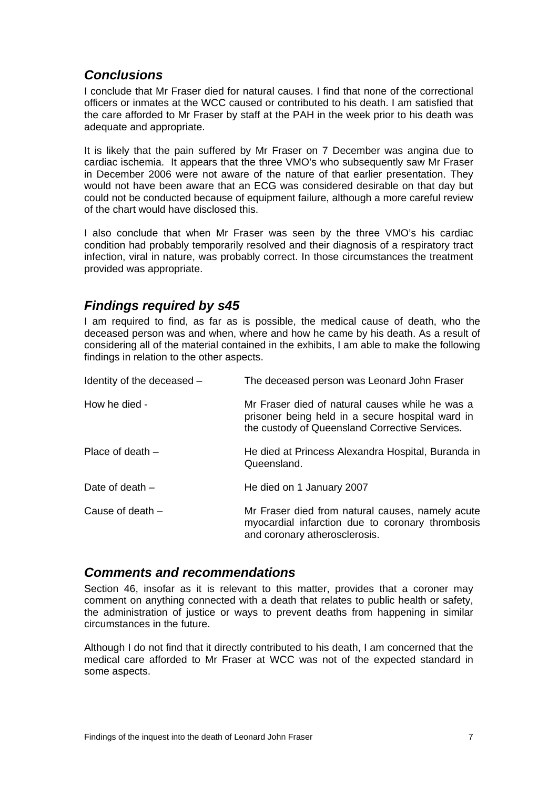# <span id="page-8-0"></span>*Conclusions*

I conclude that Mr Fraser died for natural causes. I find that none of the correctional officers or inmates at the WCC caused or contributed to his death. I am satisfied that the care afforded to Mr Fraser by staff at the PAH in the week prior to his death was adequate and appropriate.

It is likely that the pain suffered by Mr Fraser on 7 December was angina due to cardiac ischemia. It appears that the three VMO's who subsequently saw Mr Fraser in December 2006 were not aware of the nature of that earlier presentation. They would not have been aware that an ECG was considered desirable on that day but could not be conducted because of equipment failure, although a more careful review of the chart would have disclosed this.

I also conclude that when Mr Fraser was seen by the three VMO's his cardiac condition had probably temporarily resolved and their diagnosis of a respiratory tract infection, viral in nature, was probably correct. In those circumstances the treatment provided was appropriate.

# <span id="page-8-1"></span>*Findings required by s45*

I am required to find, as far as is possible, the medical cause of death, who the deceased person was and when, where and how he came by his death. As a result of considering all of the material contained in the exhibits, I am able to make the following findings in relation to the other aspects.

| Identity of the deceased - | The deceased person was Leonard John Fraser                                                                                                           |
|----------------------------|-------------------------------------------------------------------------------------------------------------------------------------------------------|
| How he died -              | Mr Fraser died of natural causes while he was a<br>prisoner being held in a secure hospital ward in<br>the custody of Queensland Corrective Services. |
| Place of death $-$         | He died at Princess Alexandra Hospital, Buranda in<br>Queensland.                                                                                     |
| Date of death $-$          | He died on 1 January 2007                                                                                                                             |
| Cause of death $-$         | Mr Fraser died from natural causes, namely acute<br>myocardial infarction due to coronary thrombosis<br>and coronary atherosclerosis.                 |

#### <span id="page-8-2"></span>*Comments and recommendations*

Section 46, insofar as it is relevant to this matter, provides that a coroner may comment on anything connected with a death that relates to public health or safety, the administration of justice or ways to prevent deaths from happening in similar circumstances in the future.

Although I do not find that it directly contributed to his death, I am concerned that the medical care afforded to Mr Fraser at WCC was not of the expected standard in some aspects.